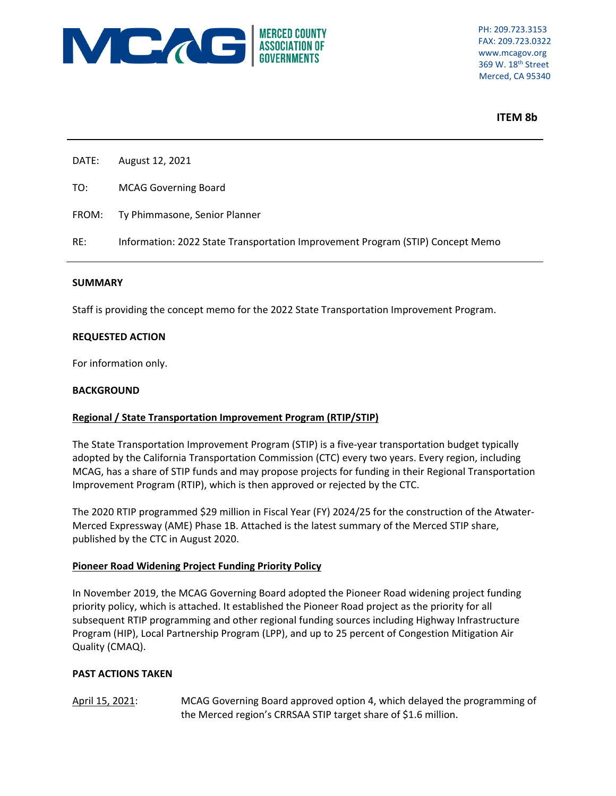

 369 W. 18th Street Merced, CA 95340

## **ITEM 8b**

- DATE: August 12, 2021
- TO: MCAG Governing Board
- FROM: Ty Phimmasone, Senior Planner
- RE: Information: 2022 State Transportation Improvement Program (STIP) Concept Memo

#### **SUMMARY**

Staff is providing the concept memo for the 2022 State Transportation Improvement Program.

#### **REQUESTED ACTION**

For information only.

#### **BACKGROUND**

# **Regional / State Transportation Improvement Program (RTIP/STIP)**

The State Transportation Improvement Program (STIP) is a five-year transportation budget typically adopted by the California Transportation Commission (CTC) every two years. Every region, including MCAG, has a share of STIP funds and may propose projects for funding in their Regional Transportation Improvement Program (RTIP), which is then approved or rejected by the CTC.

The 2020 RTIP programmed \$29 million in Fiscal Year (FY) 2024/25 for the construction of the Atwater‐ Merced Expressway (AME) Phase 1B. Attached is the latest summary of the Merced STIP share, published by the CTC in August 2020.

#### **Pioneer Road Widening Project Funding Priority Policy**

In November 2019, the MCAG Governing Board adopted the Pioneer Road widening project funding priority policy, which is attached. It established the Pioneer Road project as the priority for all subsequent RTIP programming and other regional funding sources including Highway Infrastructure Program (HIP), Local Partnership Program (LPP), and up to 25 percent of Congestion Mitigation Air Quality (CMAQ).

#### **PAST ACTIONS TAKEN**

April 15, 2021: MCAG Governing Board approved option 4, which delayed the programming of the Merced region's CRRSAA STIP target share of \$1.6 million.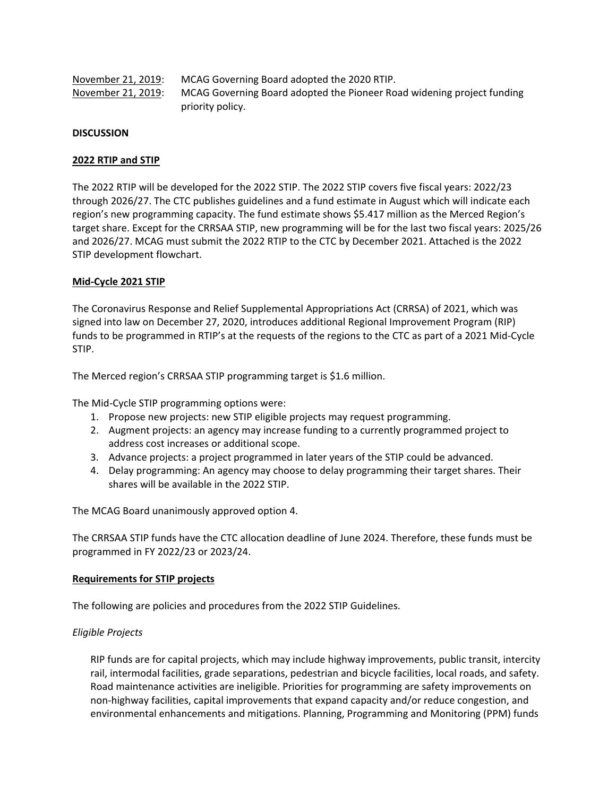| November 21, 2019: | MCAG Governing Board adopted the 2020 RTIP.                            |
|--------------------|------------------------------------------------------------------------|
| November 21, 2019: | MCAG Governing Board adopted the Pioneer Road widening project funding |
|                    | priority policy.                                                       |

## **DISCUSSION**

## **2022 RTIP and STIP**

The 2022 RTIP will be developed for the 2022 STIP. The 2022 STIP covers five fiscal years: 2022/23 through 2026/27. The CTC publishes guidelines and a fund estimate in August which will indicate each region's new programming capacity. The fund estimate shows \$5.417 million as the Merced Region's target share. Except for the CRRSAA STIP, new programming will be for the last two fiscal years: 2025/26 and 2026/27. MCAG must submit the 2022 RTIP to the CTC by December 2021. Attached is the 2022 STIP development flowchart.

## **Mid‐Cycle 2021 STIP**

The Coronavirus Response and Relief Supplemental Appropriations Act (CRRSA) of 2021, which was signed into law on December 27, 2020, introduces additional Regional Improvement Program (RIP) funds to be programmed in RTIP's at the requests of the regions to the CTC as part of a 2021 Mid‐Cycle STIP.

The Merced region's CRRSAA STIP programming target is \$1.6 million.

The Mid‐Cycle STIP programming options were:

- 1. Propose new projects: new STIP eligible projects may request programming.
- 2. Augment projects: an agency may increase funding to a currently programmed project to address cost increases or additional scope.
- 3. Advance projects: a project programmed in later years of the STIP could be advanced.
- 4. Delay programming: An agency may choose to delay programming their target shares. Their shares will be available in the 2022 STIP.

The MCAG Board unanimously approved option 4.

The CRRSAA STIP funds have the CTC allocation deadline of June 2024. Therefore, these funds must be programmed in FY 2022/23 or 2023/24.

#### **Requirements for STIP projects**

The following are policies and procedures from the 2022 STIP Guidelines.

# *Eligible Projects*

RIP funds are for capital projects, which may include highway improvements, public transit, intercity rail, intermodal facilities, grade separations, pedestrian and bicycle facilities, local roads, and safety. Road maintenance activities are ineligible. Priorities for programming are safety improvements on non‐highway facilities, capital improvements that expand capacity and/or reduce congestion, and environmental enhancements and mitigations. Planning, Programming and Monitoring (PPM) funds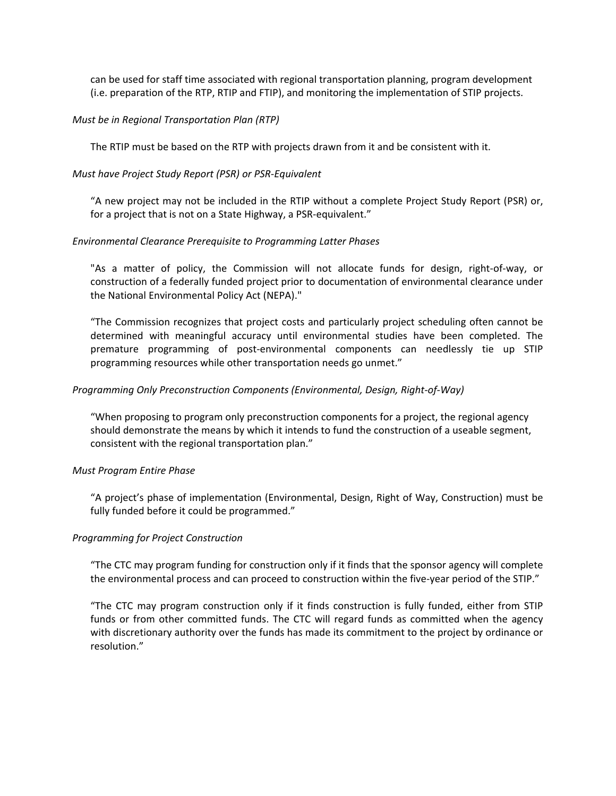can be used for staff time associated with regional transportation planning, program development (i.e. preparation of the RTP, RTIP and FTIP), and monitoring the implementation of STIP projects.

## *Must be in Regional Transportation Plan (RTP)*

The RTIP must be based on the RTP with projects drawn from it and be consistent with it.

## *Must have Project Study Report (PSR) or PSR‐Equivalent*

"A new project may not be included in the RTIP without a complete Project Study Report (PSR) or, for a project that is not on a State Highway, a PSR-equivalent."

## *Environmental Clearance Prerequisite to Programming Latter Phases*

"As a matter of policy, the Commission will not allocate funds for design, right‐of‐way, or construction of a federally funded project prior to documentation of environmental clearance under the National Environmental Policy Act (NEPA)."

"The Commission recognizes that project costs and particularly project scheduling often cannot be determined with meaningful accuracy until environmental studies have been completed. The premature programming of post‐environmental components can needlessly tie up STIP programming resources while other transportation needs go unmet."

## *Programming Only Preconstruction Components (Environmental, Design, Right‐of‐Way)*

"When proposing to program only preconstruction components for a project, the regional agency should demonstrate the means by which it intends to fund the construction of a useable segment, consistent with the regional transportation plan."

#### *Must Program Entire Phase*

"A project's phase of implementation (Environmental, Design, Right of Way, Construction) must be fully funded before it could be programmed."

# *Programming for Project Construction*

"The CTC may program funding for construction only if it finds that the sponsor agency will complete the environmental process and can proceed to construction within the five-year period of the STIP."

"The CTC may program construction only if it finds construction is fully funded, either from STIP funds or from other committed funds. The CTC will regard funds as committed when the agency with discretionary authority over the funds has made its commitment to the project by ordinance or resolution."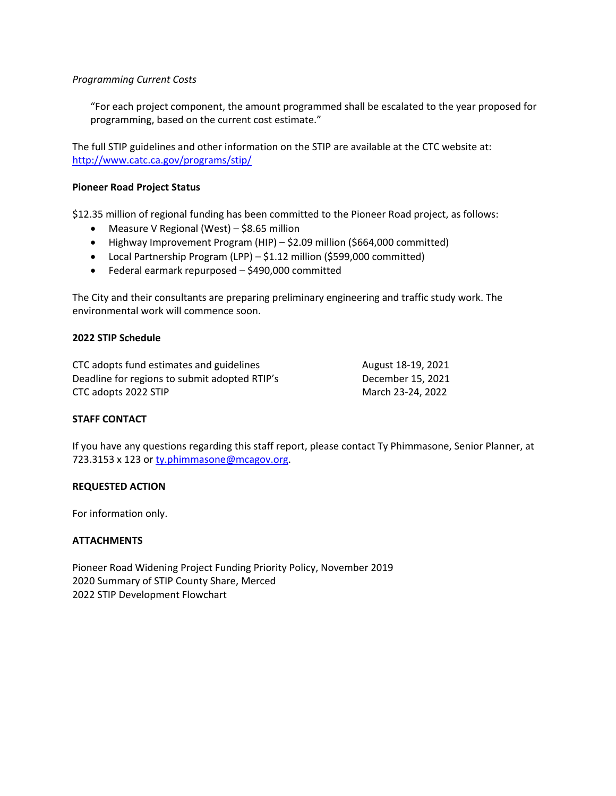## *Programming Current Costs*

"For each project component, the amount programmed shall be escalated to the year proposed for programming, based on the current cost estimate."

The full STIP guidelines and other information on the STIP are available at the CTC website at: http://www.catc.ca.gov/programs/stip/

## **Pioneer Road Project Status**

\$12.35 million of regional funding has been committed to the Pioneer Road project, as follows:

- Measure V Regional (West) \$8.65 million
- Highway Improvement Program (HIP) \$2.09 million (\$664,000 committed)
- Local Partnership Program (LPP) \$1.12 million (\$599,000 committed)
- Federal earmark repurposed \$490,000 committed

The City and their consultants are preparing preliminary engineering and traffic study work. The environmental work will commence soon.

## **2022 STIP Schedule**

CTC adopts fund estimates and guidelines August 18-19, 2021 Deadline for regions to submit adopted RTIP's December 15, 2021 CTC adopts 2022 STIP March 23-24, 2022

# **STAFF CONTACT**

If you have any questions regarding this staff report, please contact Ty Phimmasone, Senior Planner, at 723.3153 x 123 or ty.phimmasone@mcagov.org.

#### **REQUESTED ACTION**

For information only.

# **ATTACHMENTS**

Pioneer Road Widening Project Funding Priority Policy, November 2019 2020 Summary of STIP County Share, Merced 2022 STIP Development Flowchart